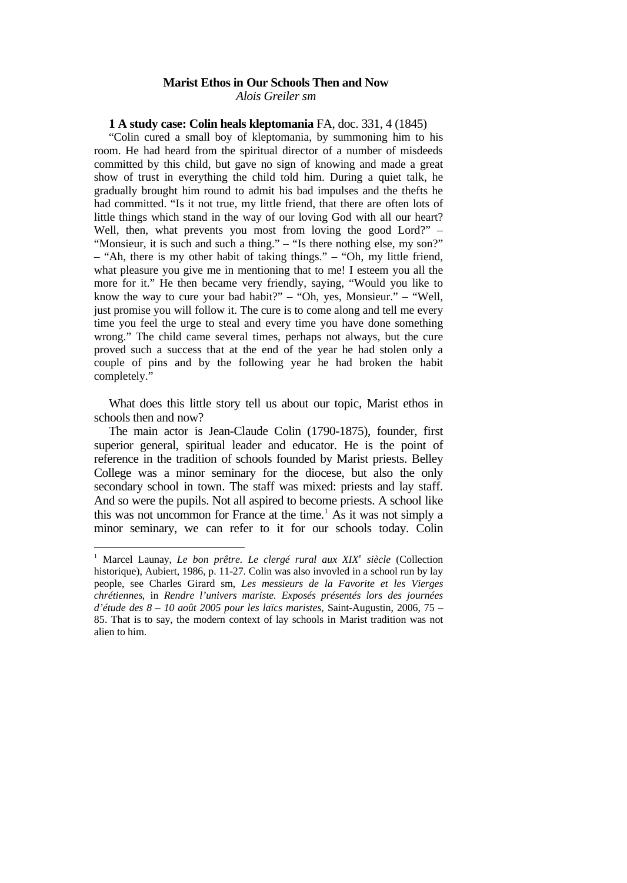# **Marist Ethos in Our Schools Then and Now**

*Alois Greiler sm*

### **1 A study case: Colin heals kleptomania** FA, doc. 331, 4 (1845)

"Colin cured a small boy of kleptomania, by summoning him to his room. He had heard from the spiritual director of a number of misdeeds committed by this child, but gave no sign of knowing and made a great show of trust in everything the child told him. During a quiet talk, he gradually brought him round to admit his bad impulses and the thefts he had committed. "Is it not true, my little friend, that there are often lots of little things which stand in the way of our loving God with all our heart? Well, then, what prevents you most from loving the good Lord?" – "Monsieur, it is such and such a thing." – "Is there nothing else, my son?" – "Ah, there is my other habit of taking things." – "Oh, my little friend, what pleasure you give me in mentioning that to me! I esteem you all the more for it." He then became very friendly, saying, "Would you like to know the way to cure your bad habit?" – "Oh, yes, Monsieur." – "Well, just promise you will follow it. The cure is to come along and tell me every time you feel the urge to steal and every time you have done something wrong." The child came several times, perhaps not always, but the cure proved such a success that at the end of the year he had stolen only a couple of pins and by the following year he had broken the habit completely."

What does this little story tell us about our topic, Marist ethos in schools then and now?

The main actor is Jean-Claude Colin (1790-1875), founder, first superior general, spiritual leader and educator. He is the point of reference in the tradition of schools founded by Marist priests. Belley College was a minor seminary for the diocese, but also the only secondary school in town. The staff was mixed: priests and lay staff. And so were the pupils. Not all aspired to become priests. A school like this was not uncommon for France at the time.<sup>1</sup> As it was not simply a minor seminary, we can refer to it for our schools today. Colin

<sup>&</sup>lt;sup>1</sup> Marcel Launay, *Le bon prêtre. Le clergé rural aux XIX<sup>e</sup> siècle* (Collection historique), Aubiert, 1986, p. 11-27. Colin was also invovled in a school run by lay people, see Charles Girard sm, *Les messieurs de la Favorite et les Vierges chrétiennes*, in *Rendre l'univers mariste. Exposés présentés lors des journées d'étude des 8 – 10 août 2005 pour les laïcs maristes*, Saint-Augustin, 2006, 75 – 85. That is to say, the modern context of lay schools in Marist tradition was not alien to him.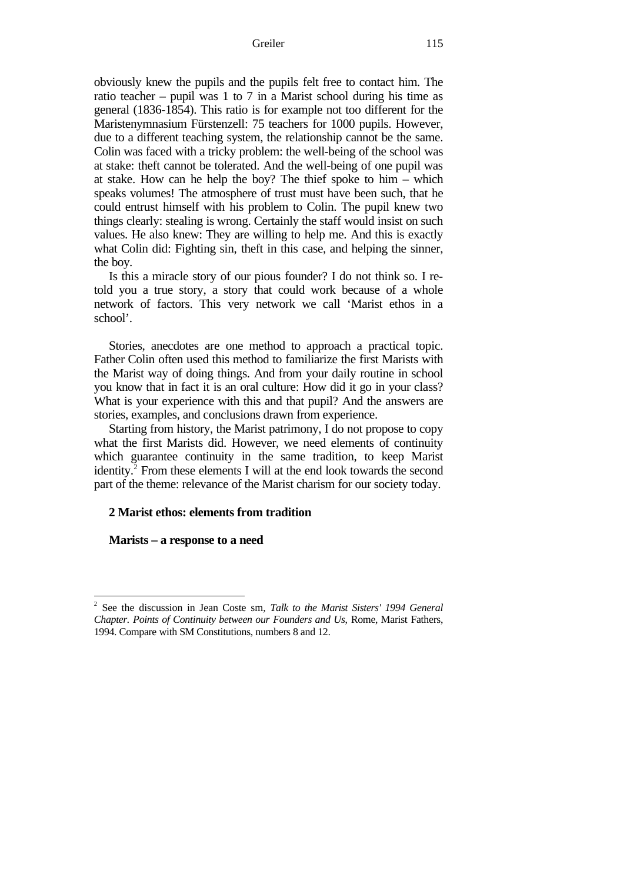#### Greiler 115

obviously knew the pupils and the pupils felt free to contact him. The ratio teacher – pupil was 1 to 7 in a Marist school during his time as general (1836-1854). This ratio is for example not too different for the Maristenymnasium Fürstenzell: 75 teachers for 1000 pupils. However, due to a different teaching system, the relationship cannot be the same. Colin was faced with a tricky problem: the well-being of the school was at stake: theft cannot be tolerated. And the well-being of one pupil was at stake. How can he help the boy? The thief spoke to him – which speaks volumes! The atmosphere of trust must have been such, that he could entrust himself with his problem to Colin. The pupil knew two things clearly: stealing is wrong. Certainly the staff would insist on such values. He also knew: They are willing to help me. And this is exactly what Colin did: Fighting sin, theft in this case, and helping the sinner, the boy.

Is this a miracle story of our pious founder? I do not think so. I retold you a true story, a story that could work because of a whole network of factors. This very network we call 'Marist ethos in a school'.

Stories, anecdotes are one method to approach a practical topic. Father Colin often used this method to familiarize the first Marists with the Marist way of doing things. And from your daily routine in school you know that in fact it is an oral culture: How did it go in your class? What is your experience with this and that pupil? And the answers are stories, examples, and conclusions drawn from experience.

Starting from history, the Marist patrimony, I do not propose to copy what the first Marists did. However, we need elements of continuity which guarantee continuity in the same tradition, to keep Marist identity.<sup>2</sup> From these elements I will at the end look towards the second part of the theme: relevance of the Marist charism for our society today.

# **2 Marist ethos: elements from tradition**

**Marists – a response to a need**

<sup>2</sup> See the discussion in Jean Coste sm, *Talk to the Marist Sisters' 1994 General Chapter. Points of Continuity between our Founders and Us*, Rome, Marist Fathers, 1994. Compare with SM Constitutions, numbers 8 and 12.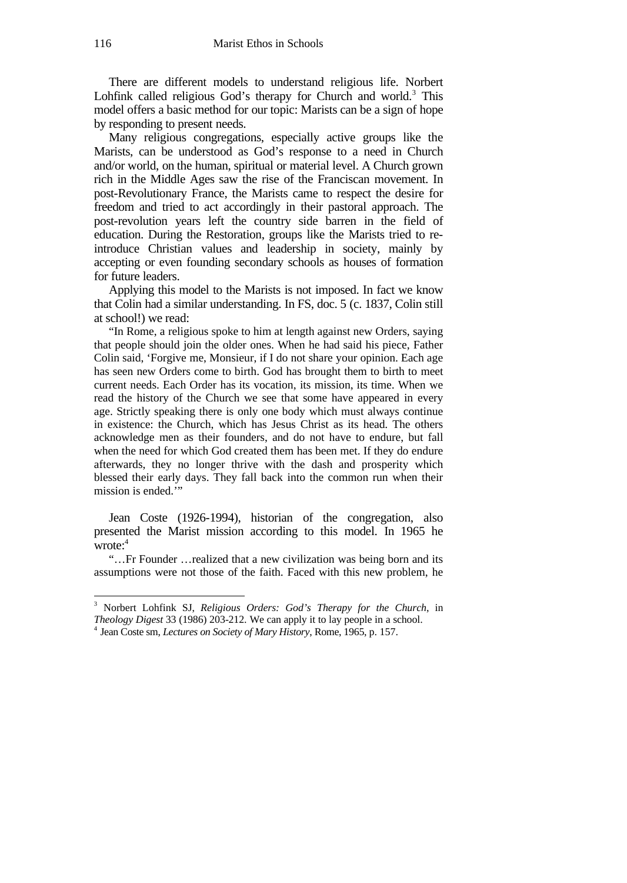There are different models to understand religious life. Norbert Lohfink called religious God's therapy for Church and world.<sup>3</sup> This model offers a basic method for our topic: Marists can be a sign of hope by responding to present needs.

Many religious congregations, especially active groups like the Marists, can be understood as God's response to a need in Church and/or world, on the human, spiritual or material level. A Church grown rich in the Middle Ages saw the rise of the Franciscan movement. In post-Revolutionary France, the Marists came to respect the desire for freedom and tried to act accordingly in their pastoral approach. The post-revolution years left the country side barren in the field of education. During the Restoration, groups like the Marists tried to reintroduce Christian values and leadership in society, mainly by accepting or even founding secondary schools as houses of formation for future leaders.

Applying this model to the Marists is not imposed. In fact we know that Colin had a similar understanding. In FS, doc. 5 (c. 1837, Colin still at school!) we read:

"In Rome, a religious spoke to him at length against new Orders, saying that people should join the older ones. When he had said his piece, Father Colin said, 'Forgive me, Monsieur, if I do not share your opinion. Each age has seen new Orders come to birth. God has brought them to birth to meet current needs. Each Order has its vocation, its mission, its time. When we read the history of the Church we see that some have appeared in every age. Strictly speaking there is only one body which must always continue in existence: the Church, which has Jesus Christ as its head. The others acknowledge men as their founders, and do not have to endure, but fall when the need for which God created them has been met. If they do endure afterwards, they no longer thrive with the dash and prosperity which blessed their early days. They fall back into the common run when their mission is ended.'"

Jean Coste (1926-1994), historian of the congregation, also presented the Marist mission according to this model. In 1965 he wrote:<sup>4</sup>

"…Fr Founder …realized that a new civilization was being born and its assumptions were not those of the faith. Faced with this new problem, he

<sup>3</sup> Norbert Lohfink SJ, *Religious Orders: God's Therapy for the Church*, in *Theology Digest* 33 (1986) 203-212. We can apply it to lay people in a school.

<sup>4</sup> Jean Coste sm, *Lectures on Society of Mary History*, Rome, 1965, p. 157.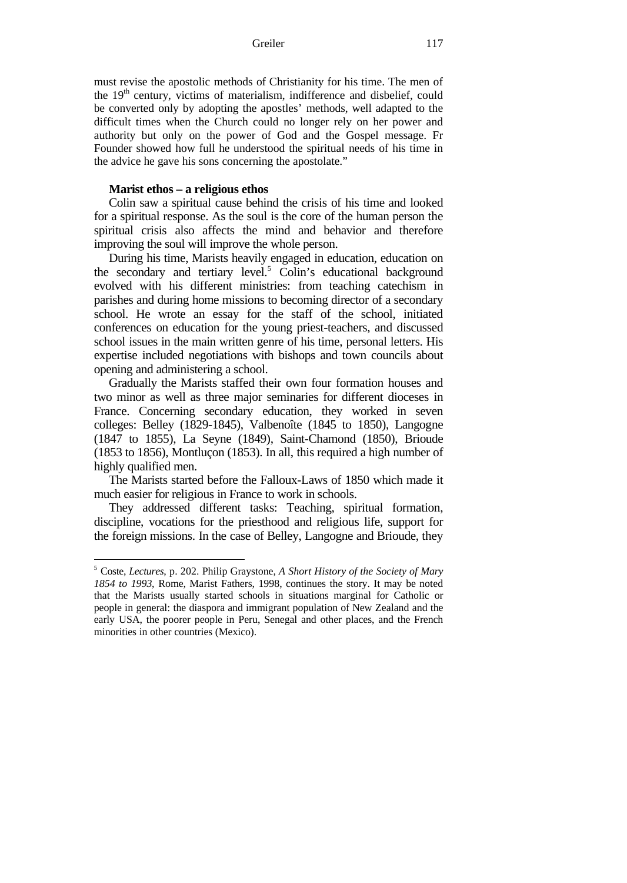Greiler 117

must revise the apostolic methods of Christianity for his time. The men of the 19<sup>th</sup> century, victims of materialism, indifference and disbelief, could be converted only by adopting the apostles' methods, well adapted to the difficult times when the Church could no longer rely on her power and authority but only on the power of God and the Gospel message. Fr Founder showed how full he understood the spiritual needs of his time in the advice he gave his sons concerning the apostolate."

# **Marist ethos – a religious ethos**

Colin saw a spiritual cause behind the crisis of his time and looked for a spiritual response. As the soul is the core of the human person the spiritual crisis also affects the mind and behavior and therefore improving the soul will improve the whole person.

During his time, Marists heavily engaged in education, education on the secondary and tertiary level.<sup>5</sup> Colin's educational background evolved with his different ministries: from teaching catechism in parishes and during home missions to becoming director of a secondary school. He wrote an essay for the staff of the school, initiated conferences on education for the young priest-teachers, and discussed school issues in the main written genre of his time, personal letters. His expertise included negotiations with bishops and town councils about opening and administering a school.

Gradually the Marists staffed their own four formation houses and two minor as well as three major seminaries for different dioceses in France. Concerning secondary education, they worked in seven colleges: Belley (1829-1845), Valbenoîte (1845 to 1850), Langogne (1847 to 1855), La Seyne (1849), Saint-Chamond (1850), Brioude (1853 to 1856), Montluçon (1853). In all, this required a high number of highly qualified men.

The Marists started before the Falloux-Laws of 1850 which made it much easier for religious in France to work in schools.

They addressed different tasks: Teaching, spiritual formation, discipline, vocations for the priesthood and religious life, support for the foreign missions. In the case of Belley, Langogne and Brioude, they

<sup>5</sup> Coste, *Lectures*, p. 202. Philip Graystone, *A Short History of the Society of Mary 1854 to 1993*, Rome, Marist Fathers, 1998, continues the story. It may be noted that the Marists usually started schools in situations marginal for Catholic or people in general: the diaspora and immigrant population of New Zealand and the early USA, the poorer people in Peru, Senegal and other places, and the French minorities in other countries (Mexico).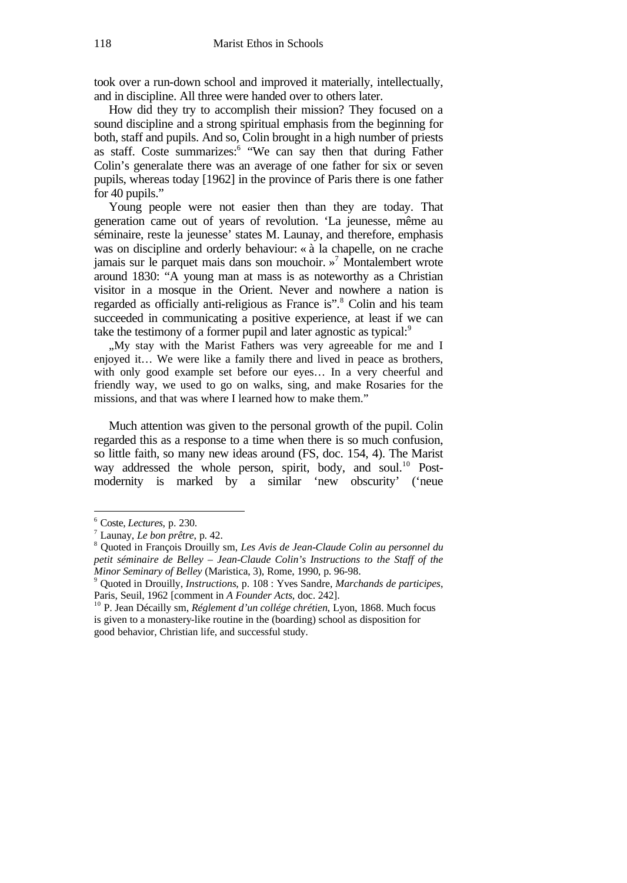took over a run-down school and improved it materially, intellectually, and in discipline. All three were handed over to others later.

How did they try to accomplish their mission? They focused on a sound discipline and a strong spiritual emphasis from the beginning for both, staff and pupils. And so, Colin brought in a high number of priests as staff. Coste summarizes:<sup>6</sup> "We can say then that during Father Colin's generalate there was an average of one father for six or seven pupils, whereas today [1962] in the province of Paris there is one father for 40 pupils."

Young people were not easier then than they are today. That generation came out of years of revolution. 'La jeunesse, même au séminaire, reste la jeunesse' states M. Launay, and therefore, emphasis was on discipline and orderly behaviour: « à la chapelle, on ne crache jamais sur le parquet mais dans son mouchoir. » <sup>7</sup> Montalembert wrote around 1830: "A young man at mass is as noteworthy as a Christian visitor in a mosque in the Orient. Never and nowhere a nation is regarded as officially anti-religious as France is".<sup>8</sup> Colin and his team succeeded in communicating a positive experience, at least if we can take the testimony of a former pupil and later agnostic as typical:<sup>9</sup>

"My stay with the Marist Fathers was very agreeable for me and I enjoyed it… We were like a family there and lived in peace as brothers, with only good example set before our eyes… In a very cheerful and friendly way, we used to go on walks, sing, and make Rosaries for the missions, and that was where I learned how to make them."

Much attention was given to the personal growth of the pupil. Colin regarded this as a response to a time when there is so much confusion, so little faith, so many new ideas around (FS, doc. 154, 4). The Marist way addressed the whole person, spirit, body, and soul.<sup>10</sup> Postmodernity is marked by a similar 'new obscurity' ('neue

<sup>6</sup> Coste, *Lectures*, p. 230.

<sup>7</sup> Launay, *Le bon prêtre*, p. 42.

<sup>8</sup> Quoted in François Drouilly sm, *Les Avis de Jean-Claude Colin au personnel du petit séminaire de Belley – Jean-Claude Colin's Instructions to the Staff of the Minor Seminary of Belley* (Maristica, 3), Rome, 1990, p. 96-98.

<sup>9</sup> Quoted in Drouilly, *Instructions*, p. 108 : Yves Sandre, *Marchands de participes*, Paris, Seuil, 1962 [comment in *A Founder Acts*, doc. 242].

<sup>10</sup> P. Jean Décailly sm, *Réglement d'un collége chrétien*, Lyon, 1868. Much focus is given to a monastery-like routine in the (boarding) school as disposition for good behavior, Christian life, and successful study.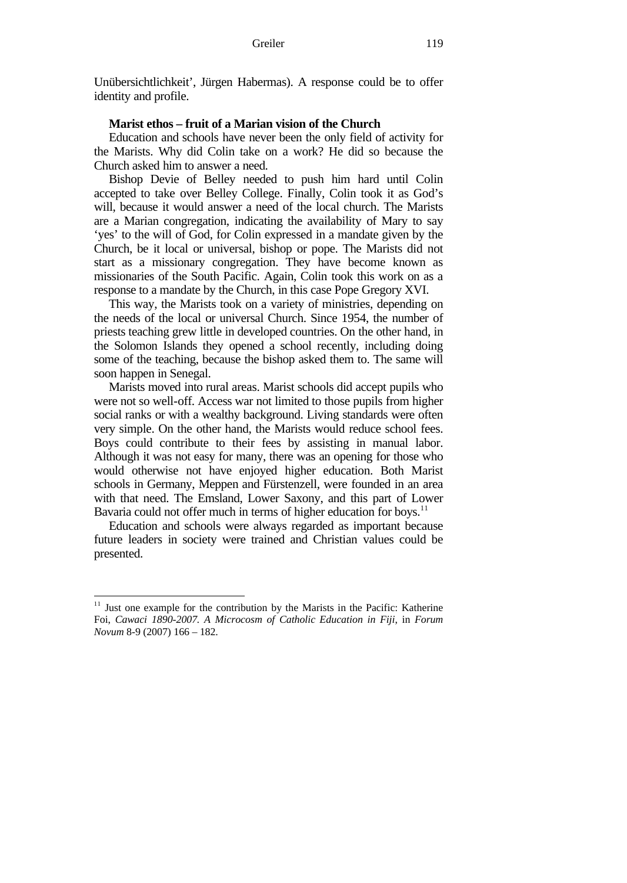Unübersichtlichkeit', Jürgen Habermas). A response could be to offer identity and profile.

### **Marist ethos – fruit of a Marian vision of the Church**

Education and schools have never been the only field of activity for the Marists. Why did Colin take on a work? He did so because the Church asked him to answer a need.

Bishop Devie of Belley needed to push him hard until Colin accepted to take over Belley College. Finally, Colin took it as God's will, because it would answer a need of the local church. The Marists are a Marian congregation, indicating the availability of Mary to say 'yes' to the will of God, for Colin expressed in a mandate given by the Church, be it local or universal, bishop or pope. The Marists did not start as a missionary congregation. They have become known as missionaries of the South Pacific. Again, Colin took this work on as a response to a mandate by the Church, in this case Pope Gregory XVI.

This way, the Marists took on a variety of ministries, depending on the needs of the local or universal Church. Since 1954, the number of priests teaching grew little in developed countries. On the other hand, in the Solomon Islands they opened a school recently, including doing some of the teaching, because the bishop asked them to. The same will soon happen in Senegal.

Marists moved into rural areas. Marist schools did accept pupils who were not so well-off. Access war not limited to those pupils from higher social ranks or with a wealthy background. Living standards were often very simple. On the other hand, the Marists would reduce school fees. Boys could contribute to their fees by assisting in manual labor. Although it was not easy for many, there was an opening for those who would otherwise not have enjoyed higher education. Both Marist schools in Germany, Meppen and Fürstenzell, were founded in an area with that need. The Emsland, Lower Saxony, and this part of Lower Bavaria could not offer much in terms of higher education for boys.<sup>11</sup>

Education and schools were always regarded as important because future leaders in society were trained and Christian values could be presented.

 $11$  Just one example for the contribution by the Marists in the Pacific: Katherine Foi, *Cawaci 1890-2007. A Microcosm of Catholic Education in Fiji*, in *Forum Novum* 8-9 (2007) 166 – 182.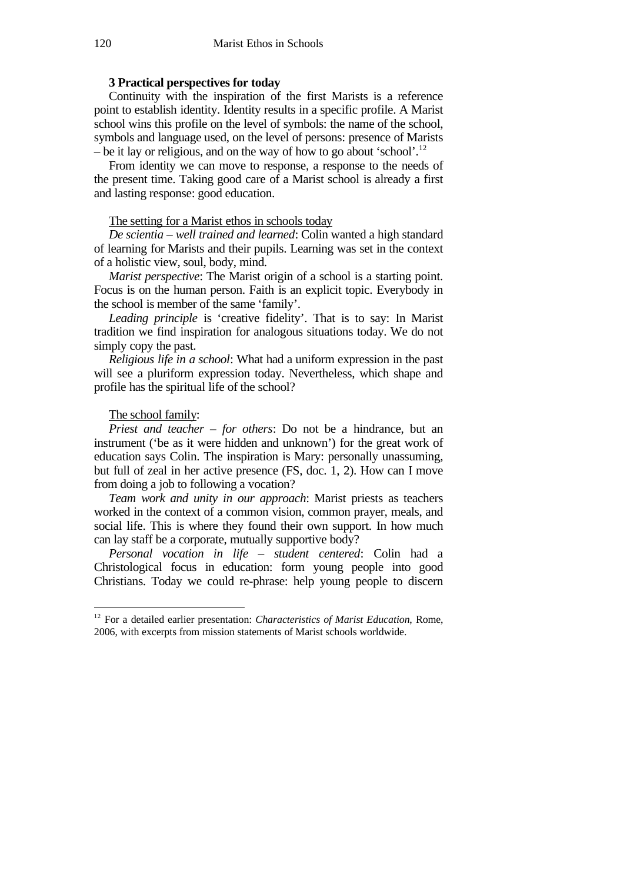# **3 Practical perspectives for today**

Continuity with the inspiration of the first Marists is a reference point to establish identity. Identity results in a specific profile. A Marist school wins this profile on the level of symbols: the name of the school, symbols and language used, on the level of persons: presence of Marists – be it lay or religious, and on the way of how to go about 'school'.<sup>12</sup>

From identity we can move to response, a response to the needs of the present time. Taking good care of a Marist school is already a first and lasting response: good education.

# The setting for a Marist ethos in schools today

*De scientia – well trained and learned*: Colin wanted a high standard of learning for Marists and their pupils. Learning was set in the context of a holistic view, soul, body, mind.

*Marist perspective*: The Marist origin of a school is a starting point. Focus is on the human person. Faith is an explicit topic. Everybody in the school is member of the same 'family'.

*Leading principle* is 'creative fidelity'. That is to say: In Marist tradition we find inspiration for analogous situations today. We do not simply copy the past.

*Religious life in a school*: What had a uniform expression in the past will see a pluriform expression today. Nevertheless, which shape and profile has the spiritual life of the school?

# The school family:

*Priest and teacher – for others*: Do not be a hindrance, but an instrument ('be as it were hidden and unknown') for the great work of education says Colin. The inspiration is Mary: personally unassuming, but full of zeal in her active presence (FS, doc. 1, 2). How can I move from doing a job to following a vocation?

*Team work and unity in our approach*: Marist priests as teachers worked in the context of a common vision, common prayer, meals, and social life. This is where they found their own support. In how much can lay staff be a corporate, mutually supportive body?

*Personal vocation in life – student centered*: Colin had a Christological focus in education: form young people into good Christians. Today we could re-phrase: help young people to discern

<sup>12</sup> For a detailed earlier presentation: *Characteristics of Marist Education*, Rome, 2006, with excerpts from mission statements of Marist schools worldwide.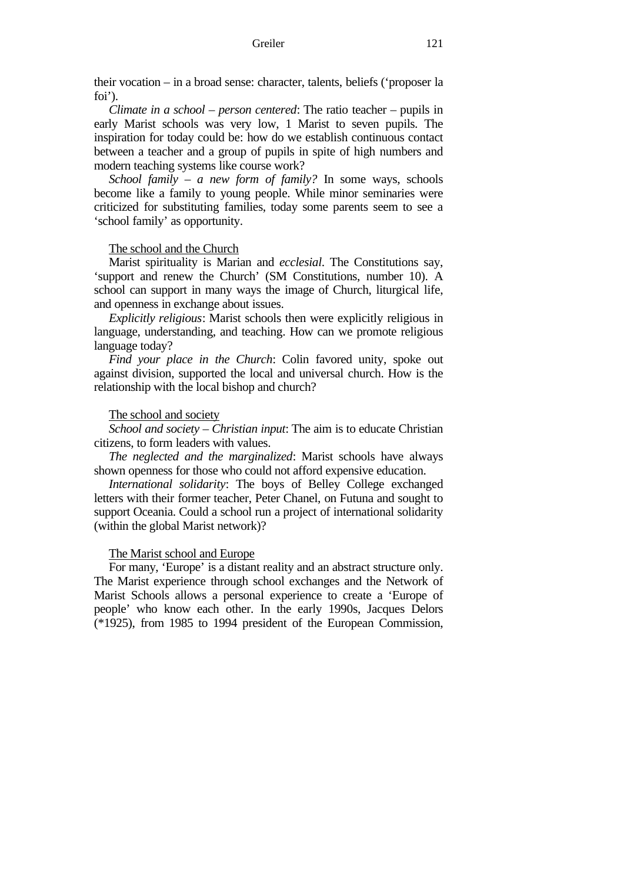their vocation – in a broad sense: character, talents, beliefs ('proposer la foi').

*Climate in a school – person centered*: The ratio teacher – pupils in early Marist schools was very low, 1 Marist to seven pupils. The inspiration for today could be: how do we establish continuous contact between a teacher and a group of pupils in spite of high numbers and modern teaching systems like course work?

*School family – a new form of family?* In some ways, schools become like a family to young people. While minor seminaries were criticized for substituting families, today some parents seem to see a 'school family' as opportunity.

# The school and the Church

Marist spirituality is Marian and *ecclesial*. The Constitutions say, 'support and renew the Church' (SM Constitutions, number 10). A school can support in many ways the image of Church, liturgical life, and openness in exchange about issues.

*Explicitly religious*: Marist schools then were explicitly religious in language, understanding, and teaching. How can we promote religious language today?

*Find your place in the Church*: Colin favored unity, spoke out against division, supported the local and universal church. How is the relationship with the local bishop and church?

### The school and society

*School and society – Christian input*: The aim is to educate Christian citizens, to form leaders with values.

*The neglected and the marginalized*: Marist schools have always shown openness for those who could not afford expensive education.

*International solidarity*: The boys of Belley College exchanged letters with their former teacher, Peter Chanel, on Futuna and sought to support Oceania. Could a school run a project of international solidarity (within the global Marist network)?

### The Marist school and Europe

For many, 'Europe' is a distant reality and an abstract structure only. The Marist experience through school exchanges and the Network of Marist Schools allows a personal experience to create a 'Europe of people' who know each other. In the early 1990s, Jacques Delors (\*1925), from 1985 to 1994 president of the European Commission,